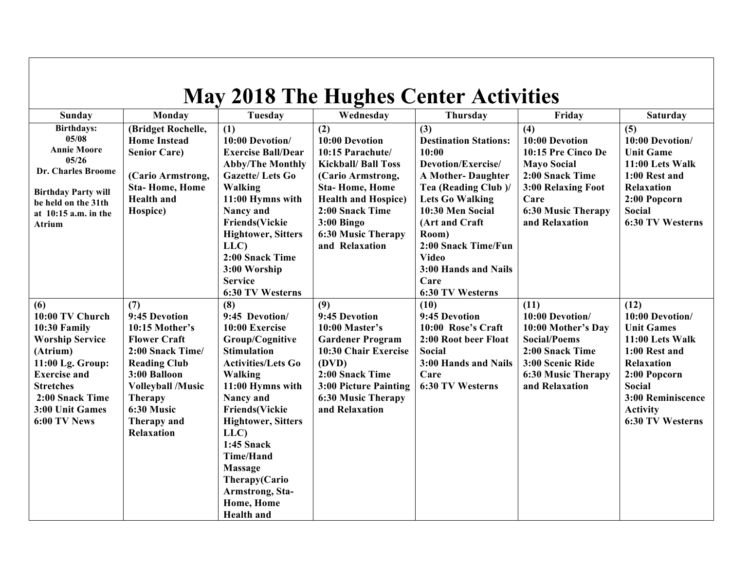| <b>May 2018 The Hughes Center Activities</b>                                                                                                                                                      |                                                                                                                                                                                                                            |                                                                                                                                                                                                                                                                                                                                                           |                                                                                                                                                                                                                                       |                                                                                                                                                                                                                                                                                            |                                                                                                                                                                   |                                                                                                                                                                                      |  |  |
|---------------------------------------------------------------------------------------------------------------------------------------------------------------------------------------------------|----------------------------------------------------------------------------------------------------------------------------------------------------------------------------------------------------------------------------|-----------------------------------------------------------------------------------------------------------------------------------------------------------------------------------------------------------------------------------------------------------------------------------------------------------------------------------------------------------|---------------------------------------------------------------------------------------------------------------------------------------------------------------------------------------------------------------------------------------|--------------------------------------------------------------------------------------------------------------------------------------------------------------------------------------------------------------------------------------------------------------------------------------------|-------------------------------------------------------------------------------------------------------------------------------------------------------------------|--------------------------------------------------------------------------------------------------------------------------------------------------------------------------------------|--|--|
| Sunday                                                                                                                                                                                            | Monday                                                                                                                                                                                                                     | Tuesday                                                                                                                                                                                                                                                                                                                                                   | Wednesday                                                                                                                                                                                                                             | Thursday                                                                                                                                                                                                                                                                                   | Friday                                                                                                                                                            | <b>Saturday</b>                                                                                                                                                                      |  |  |
| <b>Birthdays:</b><br>05/08<br><b>Annie Moore</b><br>05/26<br>Dr. Charles Broome<br><b>Birthday Party will</b><br>be held on the 31th<br>at $10:15$ a.m. in the<br>Atrium                          | (Bridget Rochelle,<br><b>Home Instead</b><br><b>Senior Care)</b><br>(Cario Armstrong,<br><b>Sta-Home, Home</b><br><b>Health</b> and<br>Hospice)                                                                            | $\overline{(1)}$<br>10:00 Devotion/<br><b>Exercise Ball/Dear</b><br><b>Abby/The Monthly</b><br><b>Gazette/Lets Go</b><br>Walking<br>11:00 Hymns with<br>Nancy and<br><b>Friends(Vickie</b><br><b>Hightower</b> , Sitters<br>LLC<br>2:00 Snack Time<br>3:00 Worship<br><b>Service</b><br>6:30 TV Westerns                                                  | (2)<br>10:00 Devotion<br>10:15 Parachute/<br><b>Kickball/ Ball Toss</b><br>(Cario Armstrong,<br><b>Sta-Home, Home</b><br><b>Health and Hospice)</b><br>2:00 Snack Time<br>$3:00$ Bingo<br><b>6:30 Music Therapy</b><br>and Relaxation | (3)<br><b>Destination Stations:</b><br>10:00<br>Devotion/Exercise/<br><b>A Mother-Daughter</b><br>Tea (Reading Club)/<br><b>Lets Go Walking</b><br>10:30 Men Social<br>(Art and Craft)<br>Room)<br>2:00 Snack Time/Fun<br><b>Video</b><br>3:00 Hands and Nails<br>Care<br>6:30 TV Westerns | (4)<br>10:00 Devotion<br>10:15 Pre Cinco De<br><b>Mayo Social</b><br>2:00 Snack Time<br>3:00 Relaxing Foot<br>Care<br><b>6:30 Music Therapy</b><br>and Relaxation | (5)<br>10:00 Devotion/<br><b>Unit Game</b><br>11:00 Lets Walk<br>1:00 Rest and<br>Relaxation<br>2:00 Popcorn<br><b>Social</b><br><b>6:30 TV Westerns</b>                             |  |  |
| (6)<br>10:00 TV Church<br>10:30 Family<br><b>Worship Service</b><br>(Atrium)<br>11:00 Lg. Group:<br><b>Exercise and</b><br><b>Stretches</b><br>2:00 Snack Time<br>3:00 Unit Games<br>6:00 TV News | (7)<br>9:45 Devotion<br>$10:15$ Mother's<br><b>Flower Craft</b><br>2:00 Snack Time/<br><b>Reading Club</b><br>3:00 Balloon<br><b>Volleyball /Music</b><br><b>Therapy</b><br>6:30 Music<br>Therapy and<br><b>Relaxation</b> | (8)<br>9:45 Devotion/<br>10:00 Exercise<br>Group/Cognitive<br><b>Stimulation</b><br><b>Activities/Lets Go</b><br>Walking<br>11:00 Hymns with<br>Nancy and<br><b>Friends</b> (Vickie<br><b>Hightower, Sitters</b><br>LLC<br><b>1:45 Snack</b><br><b>Time/Hand</b><br><b>Massage</b><br>Therapy(Cario<br>Armstrong, Sta-<br>Home, Home<br><b>Health</b> and | (9)<br>9:45 Devotion<br>10:00 Master's<br><b>Gardener Program</b><br>10:30 Chair Exercise<br>(DVD)<br>2:00 Snack Time<br>3:00 Picture Painting<br><b>6:30 Music Therapy</b><br>and Relaxation                                         | (10)<br>9:45 Devotion<br>10:00 Rose's Craft<br>2:00 Root beer Float<br><b>Social</b><br>3:00 Hands and Nails<br>Care<br>6:30 TV Westerns                                                                                                                                                   | (11)<br>10:00 Devotion/<br>10:00 Mother's Day<br><b>Social/Poems</b><br>2:00 Snack Time<br>3:00 Scenic Ride<br><b>6:30 Music Therapy</b><br>and Relaxation        | (12)<br>10:00 Devotion/<br><b>Unit Games</b><br>11:00 Lets Walk<br>1:00 Rest and<br>Relaxation<br>2:00 Popcorn<br>Social<br>3:00 Reminiscence<br><b>Activity</b><br>6:30 TV Westerns |  |  |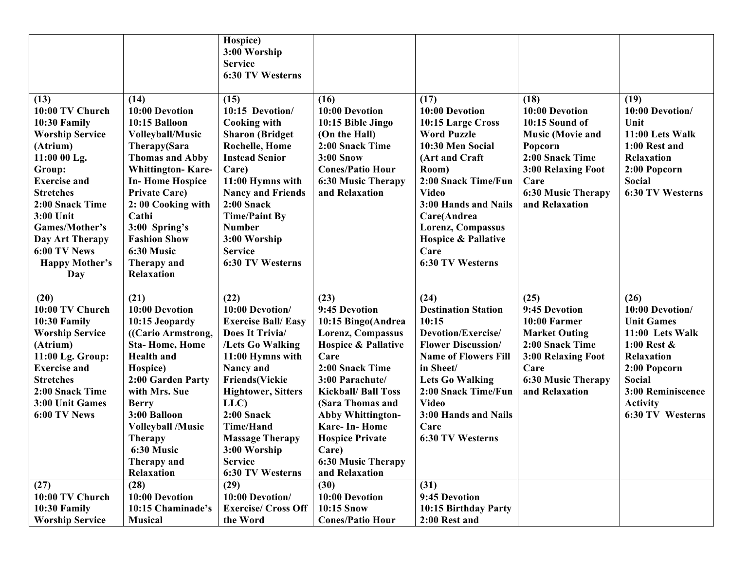|                                         |                                                | Hospice)<br>3:00 Worship                     |                                             |                                       |                                   |                                   |
|-----------------------------------------|------------------------------------------------|----------------------------------------------|---------------------------------------------|---------------------------------------|-----------------------------------|-----------------------------------|
|                                         |                                                | <b>Service</b>                               |                                             |                                       |                                   |                                   |
|                                         |                                                | 6:30 TV Westerns                             |                                             |                                       |                                   |                                   |
| (13)                                    | (14)                                           | (15)                                         | (16)                                        | (17)                                  | (18)                              | (19)                              |
| 10:00 TV Church                         | 10:00 Devotion                                 | 10:15 Devotion/                              | 10:00 Devotion                              | 10:00 Devotion                        | 10:00 Devotion                    | 10:00 Devotion/                   |
| 10:30 Family                            | 10:15 Balloon                                  | <b>Cooking with</b>                          | 10:15 Bible Jingo                           | 10:15 Large Cross                     | 10:15 Sound of                    | Unit                              |
| <b>Worship Service</b>                  | <b>Volleyball/Music</b>                        | <b>Sharon</b> (Bridget                       | (On the Hall)                               | <b>Word Puzzle</b>                    | <b>Music (Movie and</b>           | 11:00 Lets Walk                   |
| (Atrium)                                | Therapy(Sara                                   | <b>Rochelle, Home</b>                        | 2:00 Snack Time                             | 10:30 Men Social                      | Popcorn                           | 1:00 Rest and                     |
| 11:00 00 Lg.                            | <b>Thomas and Abby</b>                         | <b>Instead Senior</b>                        | <b>3:00 Snow</b>                            | (Art and Craft                        | 2:00 Snack Time                   | <b>Relaxation</b>                 |
| Group:                                  | <b>Whittington-Kare-</b>                       | Care)                                        | <b>Cones/Patio Hour</b>                     | Room)                                 | 3:00 Relaxing Foot                | 2:00 Popcorn                      |
| <b>Exercise and</b><br><b>Stretches</b> | <b>In-Home Hospice</b><br><b>Private Care)</b> | 11:00 Hymns with<br><b>Nancy and Friends</b> | <b>6:30 Music Therapy</b><br>and Relaxation | 2:00 Snack Time/Fun<br><b>Video</b>   | Care<br><b>6:30 Music Therapy</b> | <b>Social</b><br>6:30 TV Westerns |
| 2:00 Snack Time                         | 2:00 Cooking with                              | $2:00$ Snack                                 |                                             | 3:00 Hands and Nails                  | and Relaxation                    |                                   |
| 3:00 Unit                               | Cathi                                          | <b>Time/Paint By</b>                         |                                             | Care(Andrea                           |                                   |                                   |
| Games/Mother's                          | 3:00 Spring's                                  | <b>Number</b>                                |                                             | Lorenz, Compassus                     |                                   |                                   |
| Day Art Therapy                         | <b>Fashion Show</b>                            | 3:00 Worship                                 |                                             | <b>Hospice &amp; Pallative</b>        |                                   |                                   |
| 6:00 TV News                            | 6:30 Music                                     | <b>Service</b>                               |                                             | Care                                  |                                   |                                   |
| <b>Happy Mother's</b>                   | Therapy and                                    | 6:30 TV Westerns                             |                                             | <b>6:30 TV Westerns</b>               |                                   |                                   |
| Day                                     | <b>Relaxation</b>                              |                                              |                                             |                                       |                                   |                                   |
|                                         |                                                |                                              |                                             |                                       |                                   |                                   |
| (20)                                    | (21)                                           | (22)                                         | (23)                                        | (24)                                  | (25)                              | (26)                              |
| 10:00 TV Church                         | 10:00 Devotion                                 | 10:00 Devotion/                              | 9:45 Devotion                               | <b>Destination Station</b>            | 9:45 Devotion                     | 10:00 Devotion/                   |
| 10:30 Family                            | 10:15 Jeopardy                                 | <b>Exercise Ball/ Easy</b>                   | 10:15 Bingo(Andrea                          | 10:15                                 | 10:00 Farmer                      | <b>Unit Games</b>                 |
| <b>Worship Service</b>                  | ((Cario Armstrong,                             | Does It Trivia/                              | Lorenz, Compassus                           | Devotion/Exercise/                    | <b>Market Outing</b>              | 11:00 Lets Walk                   |
| (Atrium)                                | <b>Sta-Home, Home</b>                          | /Lets Go Walking                             | <b>Hospice &amp; Pallative</b>              | <b>Flower Discussion/</b>             | 2:00 Snack Time                   | 1:00 Rest $\&$                    |
| 11:00 Lg. Group:                        | <b>Health</b> and                              | 11:00 Hymns with                             | Care                                        | <b>Name of Flowers Fill</b>           | 3:00 Relaxing Foot                | Relaxation                        |
| <b>Exercise and</b><br><b>Stretches</b> | Hospice)<br>2:00 Garden Party                  | Nancy and<br><b>Friends(Vickie</b>           | 2:00 Snack Time<br>3:00 Parachute/          | in Sheet/<br><b>Lets Go Walking</b>   | Care<br><b>6:30 Music Therapy</b> | 2:00 Popcorn<br><b>Social</b>     |
| 2:00 Snack Time                         | with Mrs. Sue                                  | <b>Hightower, Sitters</b>                    | <b>Kickball/ Ball Toss</b>                  | 2:00 Snack Time/Fun                   | and Relaxation                    | 3:00 Reminiscence                 |
| 3:00 Unit Games                         | <b>Berry</b>                                   | LLC)                                         | (Sara Thomas and                            | <b>Video</b>                          |                                   | <b>Activity</b>                   |
| 6:00 TV News                            | 3:00 Balloon                                   | $2:00$ Snack                                 | <b>Abby Whittington-</b>                    | 3:00 Hands and Nails                  |                                   | 6:30 TV Westerns                  |
|                                         | <b>Volleyball /Music</b>                       | <b>Time/Hand</b>                             | <b>Kare-In-Home</b>                         | Care                                  |                                   |                                   |
|                                         | <b>Therapy</b>                                 | <b>Massage Therapy</b>                       | <b>Hospice Private</b>                      | 6:30 TV Westerns                      |                                   |                                   |
|                                         | 6:30 Music                                     | 3:00 Worship                                 | Care)                                       |                                       |                                   |                                   |
|                                         | Therapy and                                    | <b>Service</b>                               | <b>6:30 Music Therapy</b>                   |                                       |                                   |                                   |
|                                         | Relaxation                                     | 6:30 TV Westerns                             | and Relaxation                              |                                       |                                   |                                   |
| (27)                                    | (28)                                           | (29)                                         | (30)                                        | (31)                                  |                                   |                                   |
| 10:00 TV Church                         | 10:00 Devotion                                 | 10:00 Devotion/                              | 10:00 Devotion                              | 9:45 Devotion                         |                                   |                                   |
|                                         |                                                |                                              |                                             |                                       |                                   |                                   |
| 10:30 Family<br><b>Worship Service</b>  | 10:15 Chaminade's<br><b>Musical</b>            | <b>Exercise/ Cross Off</b><br>the Word       | 10:15 Snow<br><b>Cones/Patio Hour</b>       | 10:15 Birthday Party<br>2:00 Rest and |                                   |                                   |